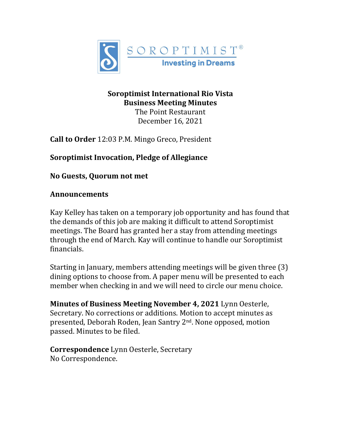

#### **Soroptimist International Rio Vista Business Meeting Minutes** The Point Restaurant

December 16, 2021

**Call to Order** 12:03 P.M. Mingo Greco, President

**Soroptimist Invocation, Pledge of Allegiance**

**No Guests, Quorum not met**

# **Announcements**

Kay Kelley has taken on a temporary job opportunity and has found that the demands of this job are making it difficult to attend Soroptimist meetings. The Board has granted her a stay from attending meetings through the end of March. Kay will continue to handle our Soroptimist financials.

Starting in January, members attending meetings will be given three (3) dining options to choose from. A paper menu will be presented to each member when checking in and we will need to circle our menu choice.

**Minutes of Business Meeting November 4, 2021** Lynn Oesterle, Secretary. No corrections or additions. Motion to accept minutes as presented, Deborah Roden, Jean Santry 2nd. None opposed, motion passed. Minutes to be filed.

**Correspondence** Lynn Oesterle, Secretary No Correspondence.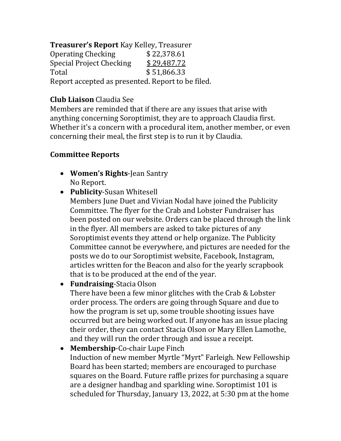**Treasurer's Report** Kay Kelley, Treasurer Operating Checking \$22,378.61<br>Special Project Checking \$29,487.72 Special Project Checking  $$29,487.72$ <br>Total  $$51,866.33$ Total  $$51,866.33$ Report accepted as presented. Report to be filed.

# **Club Liaison** Claudia See

Members are reminded that if there are any issues that arise with anything concerning Soroptimist, they are to approach Claudia first. Whether it's a concern with a procedural item, another member, or even concerning their meal, the first step is to run it by Claudia.

## **Committee Reports**

- **Women's Rights**-Jean Santry No Report.
- **Publicity**-Susan Whitesell
	- Members June Duet and Vivian Nodal have joined the Publicity Committee. The flyer for the Crab and Lobster Fundraiser has been posted on our website. Orders can be placed through the link in the flyer. All members are asked to take pictures of any Soroptimist events they attend or help organize. The Publicity Committee cannot be everywhere, and pictures are needed for the posts we do to our Soroptimist website, Facebook, Instagram, articles written for the Beacon and also for the yearly scrapbook that is to be produced at the end of the year.
- **Fundraising**-Stacia Olson

There have been a few minor glitches with the Crab & Lobster order process. The orders are going through Square and due to how the program is set up, some trouble shooting issues have occurred but are being worked out. If anyone has an issue placing their order, they can contact Stacia Olson or Mary Ellen Lamothe, and they will run the order through and issue a receipt.

• **Membership**-Co-chair Lupe Finch Induction of new member Myrtle "Myrt" Farleigh. New Fellowship Board has been started; members are encouraged to purchase squares on the Board. Future raffle prizes for purchasing a square are a designer handbag and sparkling wine. Soroptimist 101 is scheduled for Thursday, January 13, 2022, at 5:30 pm at the home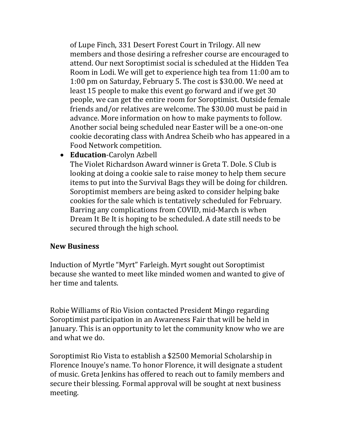of Lupe Finch, 331 Desert Forest Court in Trilogy. All new members and those desiring a refresher course are encouraged to attend. Our next Soroptimist social is scheduled at the Hidden Tea Room in Lodi. We will get to experience high tea from 11:00 am to 1:00 pm on Saturday, February 5. The cost is \$30.00. We need at least 15 people to make this event go forward and if we get 30 people, we can get the entire room for Soroptimist. Outside female friends and/or relatives are welcome. The \$30.00 must be paid in advance. More information on how to make payments to follow. Another social being scheduled near Easter will be a one-on-one cookie decorating class with Andrea Scheib who has appeared in a Food Network competition.

• **Education**-Carolyn Azbell

The Violet Richardson Award winner is Greta T. Dole. S Club is looking at doing a cookie sale to raise money to help them secure items to put into the Survival Bags they will be doing for children. Soroptimist members are being asked to consider helping bake cookies for the sale which is tentatively scheduled for February. Barring any complications from COVID, mid-March is when Dream It Be It is hoping to be scheduled. A date still needs to be secured through the high school.

#### **New Business**

Induction of Myrtle "Myrt" Farleigh. Myrt sought out Soroptimist because she wanted to meet like minded women and wanted to give of her time and talents.

Robie Williams of Rio Vision contacted President Mingo regarding Soroptimist participation in an Awareness Fair that will be held in January. This is an opportunity to let the community know who we are and what we do.

Soroptimist Rio Vista to establish a \$2500 Memorial Scholarship in Florence Inouye's name. To honor Florence, it will designate a student of music. Greta Jenkins has offered to reach out to family members and secure their blessing. Formal approval will be sought at next business meeting.